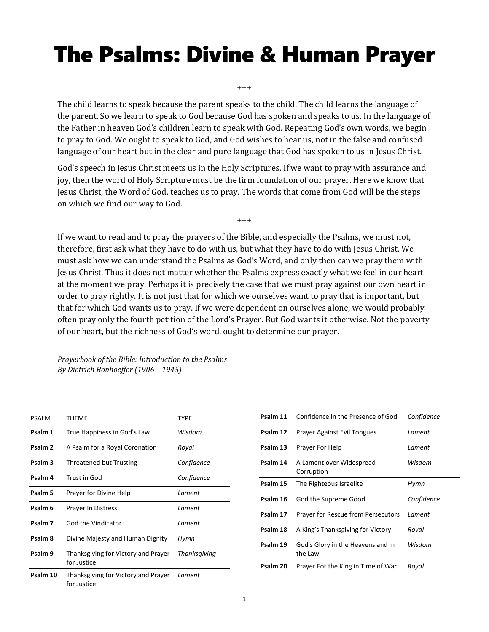## The Psalms: Divine & Human Prayer

+++

The child learns to speak because the parent speaks to the child. The child learns the language of the parent. So we learn to speak to God because God has spoken and speaks to us. In the language of the Father in heaven God's children learn to speak with God. Repeating God's own words, we begin to pray to God. We ought to speak to God, and God wishes to hear us, not in the false and confused language of our heart but in the clear and pure language that God has spoken to us in Jesus Christ.

God's speech in Jesus Christ meets us in the Holy Scriptures. If we want to pray with assurance and joy, then the word of Holy Scripture must be the firm foundation of our prayer. Here we know that Jesus Christ, the Word of God, teaches us to pray. The words that come from God will be the steps on which we find our way to God.

+++

If we want to read and to pray the prayers of the Bible, and especially the Psalms, we must not, therefore, first ask what they have to do with us, but what they have to do with Jesus Christ. We must ask how we can understand the Psalms as God's Word, and only then can we pray them with Jesus Christ. Thus it does not matter whether the Psalms express exactly what we feel in our heart at the moment we pray. Perhaps it is precisely the case that we must pray against our own heart in order to pray rightly. It is not just that for which we ourselves want to pray that is important, but that for which God wants us to pray. If we were dependent on ourselves alone, we would probably often pray only the fourth petition of the Lord's Prayer. But God wants it otherwise. Not the poverty of our heart, but the richness of God's word, ought to determine our prayer.

*Prayerbook of the Bible: Introduction to the Psalms By Dietrich Bonhoeffer (1906 – 1945)*

| <b>PSALM</b>       | <b>THEME</b>                                       | <b>TYPE</b>  |
|--------------------|----------------------------------------------------|--------------|
| Psalm 1            | True Happiness in God's Law                        | Wisdom       |
| Psalm <sub>2</sub> | A Psalm for a Royal Coronation                     | Royal        |
| Psalm <sub>3</sub> | Threatened but Trusting                            | Confidence   |
| Psalm 4            | Trust in God                                       | Confidence   |
| Psalm 5            | Prayer for Divine Help                             | Lament       |
| Psalm 6            | <b>Prayer In Distress</b>                          | Lament       |
| Psalm <sub>7</sub> | God the Vindicator                                 | Lament       |
| Psalm 8            | Divine Majesty and Human Dignity                   | Hymn         |
| Psalm 9            | Thanksgiving for Victory and Prayer<br>for Justice | Thanksqivinq |
| Psalm 10           | Thanksgiving for Victory and Prayer<br>for Justice | Lament       |

| Psalm 11 | Confidence in the Presence of God            | Confidence |
|----------|----------------------------------------------|------------|
| Psalm 12 | Prayer Against Evil Tongues                  | Lament     |
| Psalm 13 | Prayer For Help                              | Lament     |
| Psalm 14 | A Lament over Widespread<br>Corruption       | Wisdom     |
| Psalm 15 | The Righteous Israelite                      | Hymn       |
| Psalm 16 | God the Supreme Good                         | Confidence |
| Psalm 17 | <b>Prayer for Rescue from Persecutors</b>    | Lament     |
| Psalm 18 | A King's Thanksgiving for Victory            | Royal      |
| Psalm 19 | God's Glory in the Heavens and in<br>the Law | Wisdom     |
| Psalm 20 | Prayer For the King in Time of War           | Royal      |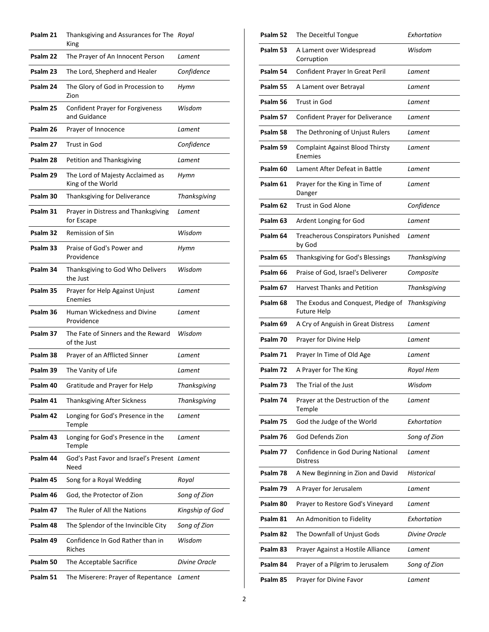| Psalm 21 | Thanksgiving and Assurances for The Royal<br>King       |                     |
|----------|---------------------------------------------------------|---------------------|
| Psalm 22 | The Prayer of An Innocent Person                        | Lament              |
| Psalm 23 | The Lord, Shepherd and Healer                           | Confidence          |
| Psalm 24 | The Glory of God in Procession to<br>Zion               | Hymn                |
| Psalm 25 | <b>Confident Prayer for Forgiveness</b><br>and Guidance | Wisdom              |
| Psalm 26 | Prayer of Innocence                                     | Lament              |
| Psalm 27 | Trust in God                                            | Confidence          |
| Psalm 28 | Petition and Thanksgiving                               | Lament              |
| Psalm 29 | The Lord of Majesty Acclaimed as<br>King of the World   | Hymn                |
| Psalm 30 | Thanksgiving for Deliverance                            | Thanksgiving        |
| Psalm 31 | Prayer in Distress and Thanksgiving<br>for Escape       | Lament              |
| Psalm 32 | <b>Remission of Sin</b>                                 | Wisdom              |
| Psalm 33 | Praise of God's Power and<br>Providence                 | Hymn                |
| Psalm 34 | Thanksgiving to God Who Delivers<br>the Just            | Wisdom              |
| Psalm 35 | Prayer for Help Against Unjust<br>Enemies               | Lament              |
| Psalm 36 | <b>Human Wickedness and Divine</b><br>Providence        | Lament              |
| Psalm 37 | The Fate of Sinners and the Reward<br>of the Just       | Wisdom              |
| Psalm 38 | Prayer of an Afflicted Sinner                           | Lament              |
| Psalm 39 | The Vanity of Life                                      | Lament              |
| Psalm 40 | Gratitude and Prayer for Help                           | Thanksgiving        |
| Psalm 41 | <b>Thanksgiving After Sickness</b>                      | <b>Thanksgiving</b> |
| Psalm 42 | Longing for God's Presence in the<br>Temple             | Lament              |
| Psalm 43 | Longing for God's Presence in the<br>Temple             | Lament              |
| Psalm 44 | God's Past Favor and Israel's Present Lament<br>Need    |                     |
| Psalm 45 | Song for a Royal Wedding                                | Royal               |
| Psalm 46 | God, the Protector of Zion                              | Song of Zion        |
| Psalm 47 | The Ruler of All the Nations                            | Kingship of God     |
| Psalm 48 | The Splendor of the Invincible City                     | Song of Zion        |
| Psalm 49 | Confidence In God Rather than in<br>Riches              | Wisdom              |
| Psalm 50 | The Acceptable Sacrifice                                | Divine Oracle       |
| Psalm 51 | The Miserere: Prayer of Repentance                      | Lament              |

| Psalm 52 | The Deceitful Tongue                                     | Exhortation        |
|----------|----------------------------------------------------------|--------------------|
| Psalm 53 | A Lament over Widespread<br>Corruption                   | Wisdom             |
| Psalm 54 | Confident Prayer In Great Peril                          | Lament             |
| Psalm 55 | A Lament over Betrayal                                   | Lament             |
| Psalm 56 | Trust in God                                             | Lament             |
| Psalm 57 | Confident Prayer for Deliverance                         | Lament             |
| Psalm 58 | The Dethroning of Unjust Rulers                          | Lament             |
| Psalm 59 | <b>Complaint Against Blood Thirsty</b><br>Enemies        | Lament             |
| Psalm 60 | Lament After Defeat in Battle                            | Lament             |
| Psalm 61 | Prayer for the King in Time of<br>Danger                 | Lament             |
| Psalm 62 | Trust in God Alone                                       | Confidence         |
| Psalm 63 | Ardent Longing for God                                   | Lament             |
| Psalm 64 | <b>Treacherous Conspirators Punished</b><br>by God       | Lament             |
| Psalm 65 | Thanksgiving for God's Blessings                         | Thanksgiving       |
| Psalm 66 | Praise of God, Israel's Deliverer                        | Composite          |
| Psalm 67 | <b>Harvest Thanks and Petition</b>                       | Thanksgiving       |
| Psalm 68 | The Exodus and Conquest, Pledge of<br><b>Future Help</b> | Thanksgiving       |
| Psalm 69 | A Cry of Anguish in Great Distress                       | Lament             |
| Psalm 70 | Prayer for Divine Help                                   | Lament             |
| Psalm 71 | Prayer In Time of Old Age                                | Lament             |
| Psalm 72 | A Prayer for The King                                    | Royal Hem          |
| Psalm 73 | The Trial of the Just                                    | Wisdom             |
| Psalm 74 | Prayer at the Destruction of the<br>Temple               | Lament             |
| Psalm 75 | God the Judge of the World                               | <b>Fxhortation</b> |
| Psalm 76 | God Defends Zion                                         | Song of Zion       |
| Psalm 77 | Confidence in God During National<br><b>Distress</b>     | Lament             |
| Psalm 78 | A New Beginning in Zion and David                        | Historical         |
| Psalm 79 | A Prayer for Jerusalem                                   | Lament             |
| Psalm 80 | Prayer to Restore God's Vineyard                         | Lament             |
| Psalm 81 | An Admonition to Fidelity                                | Exhortation        |
| Psalm 82 | The Downfall of Unjust Gods                              | Divine Oracle      |
| Psalm 83 | Prayer Against a Hostile Alliance                        | Lament             |
| Psalm 84 | Prayer of a Pilgrim to Jerusalem                         | Song of Zion       |
| Psalm 85 | Prayer for Divine Favor                                  | Lament             |